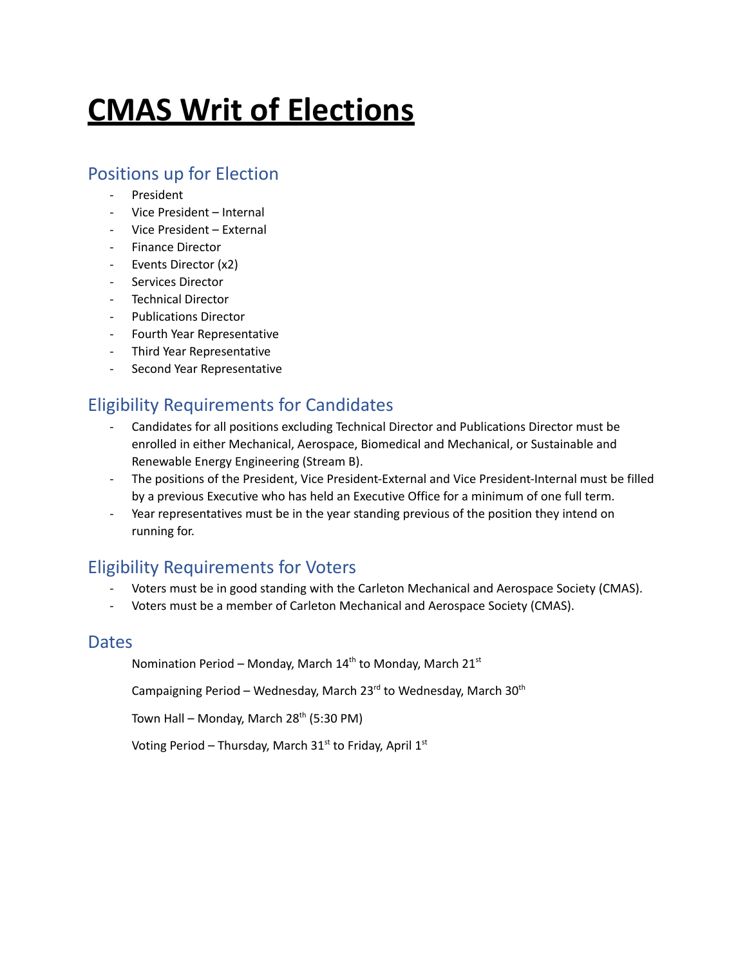# **CMAS Writ of Elections**

#### Positions up for Election

- **President**
- Vice President Internal
- Vice President External
- Finance Director
- Events Director (x2)
- Services Director
- Technical Director
- Publications Director
- Fourth Year Representative
- Third Year Representative
- Second Year Representative

### Eligibility Requirements for Candidates

- Candidates for all positions excluding Technical Director and Publications Director must be enrolled in either Mechanical, Aerospace, Biomedical and Mechanical, or Sustainable and Renewable Energy Engineering (Stream B).
- The positions of the President, Vice President-External and Vice President-Internal must be filled by a previous Executive who has held an Executive Office for a minimum of one full term.
- Year representatives must be in the year standing previous of the position they intend on running for.

# Eligibility Requirements for Voters

- Voters must be in good standing with the Carleton Mechanical and Aerospace Society (CMAS).
- Voters must be a member of Carleton Mechanical and Aerospace Society (CMAS).

#### Dates

Nomination Period – Monday, March  $14<sup>th</sup>$  to Monday, March  $21<sup>st</sup>$ 

Campaigning Period – Wednesday, March 23<sup>rd</sup> to Wednesday, March 30<sup>th</sup>

Town Hall – Monday, March 28<sup>th</sup> (5:30 PM)

Voting Period – Thursday, March 31<sup>st</sup> to Friday, April 1<sup>st</sup>